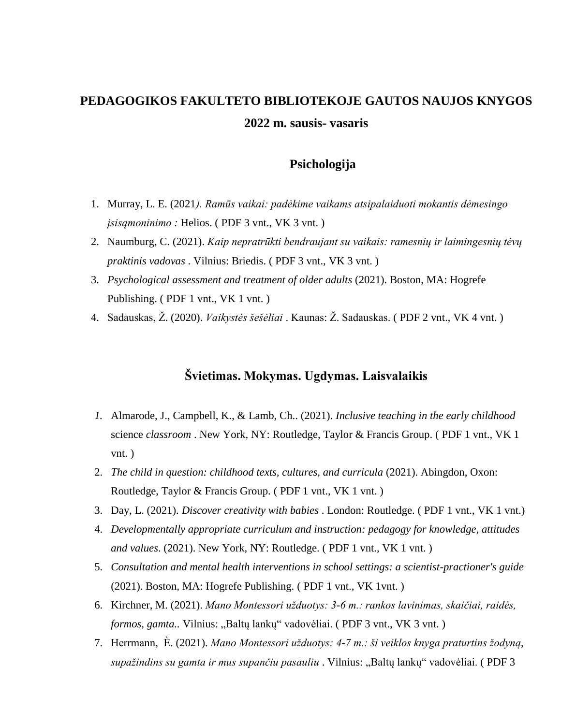# **PEDAGOGIKOS FAKULTETO BIBLIOTEKOJE GAUTOS NAUJOS KNYGOS 2022 m. sausis- vasaris**

## **Psichologija**

- 1. Murray, L. E. (2021*). Ramūs vaikai: padėkime vaikams atsipalaiduoti mokantis dėmesingo jsisamoninimo : Helios.* (PDF 3 vnt., VK 3 vnt.)
- 2. Naumburg, C. (2021). *Kaip nepratrūkti bendraujant su vaikais: ramesnių ir laimingesnių tėvų praktinis vadovas* . Vilnius: Briedis. ( PDF 3 vnt., VK 3 vnt. )
- 3. *Psychological assessment and treatment of older adults* (2021). Boston, MA: Hogrefe Publishing. (PDF 1 vnt., VK 1 vnt.)
- 4. Sadauskas, Ž. (2020). *Vaikystės šešėliai* . Kaunas: Ž. Sadauskas. ( PDF 2 vnt., VK 4 vnt. )

## **Švietimas. Mokymas. Ugdymas. Laisvalaikis**

- *1.* Almarode, J., Campbell, K., & Lamb, Ch.. (2021). *Inclusive teaching in the early childhood* science *classroom* . New York, NY: Routledge, Taylor & Francis Group. ( PDF 1 vnt., VK 1 vnt. )
- 2. *The child in question: childhood texts, cultures, and curricula* (2021). Abingdon, Oxon: Routledge, Taylor & Francis Group. ( PDF 1 vnt., VK 1 vnt. )
- 3. Day, L. (2021). *Discover creativity with babies* . London: Routledge. ( PDF 1 vnt., VK 1 vnt.)
- 4. *Developmentally appropriate curriculum and instruction: pedagogy for knowledge, attitudes and values*. (2021). New York, NY: Routledge. ( PDF 1 vnt., VK 1 vnt. )
- 5. *Consultation and mental health interventions in school settings: a scientist-practioner's guide* (2021). Boston, MA: Hogrefe Publishing. ( PDF 1 vnt., VK 1vnt. )
- 6. Kirchner, M. (2021). *Mano Montessori užduotys: 3-6 m.: rankos lavinimas, skaičiai, raidės, formos, gamta..* Vilnius: "Baltų lankų" vadovėliai. (PDF 3 vnt., VK 3 vnt.)
- 7. Herrmann, È. (2021). *Mano Montessori užduotys: 4-7 m.: ši veiklos knyga praturtins žodyną*, *supažindins su gamta ir mus supančiu pasauliu* . Vilnius: "Baltų lankų" vadovėliai. ( PDF 3